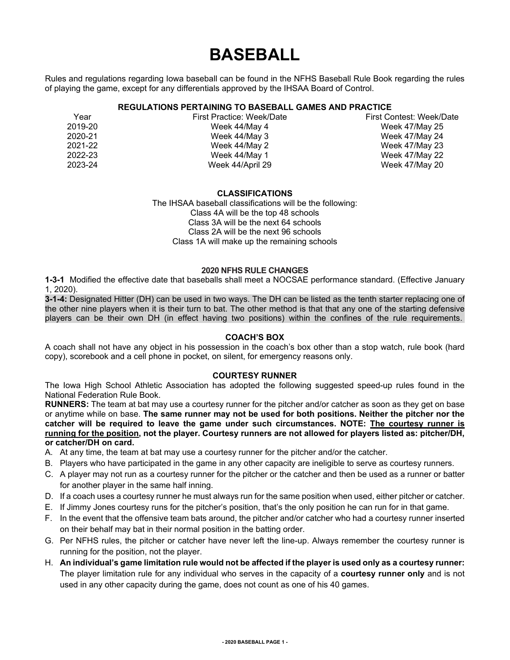# **BASEBALL**

Rules and regulations regarding Iowa baseball can be found in the NFHS Baseball Rule Book regarding the rules of playing the game, except for any differentials approved by the IHSAA Board of Control.

# **REGULATIONS PERTAINING TO BASEBALL GAMES AND PRACTICE**

| Year    | First Practice: Week/I |
|---------|------------------------|
| 2019-20 | Week 44/May 4          |
| 2020-21 | Week 44/May 3          |
| 2021-22 | Week 44/May 2          |
| 2022-23 | Week 44/May 1          |
| 2023-24 | Week 44/April 29       |
|         |                        |

Year First Practice: Week/Date First Contest: Week/Date Week 47/May 25 Week 47/May 24 Week 47/May 23 Week 47/May 22 Week 47/May 20

## **CLASSIFICATIONS**

The IHSAA baseball classifications will be the following: Class 4A will be the top 48 schools Class 3A will be the next 64 schools Class 2A will be the next 96 schools Class 1A will make up the remaining schools

## **2020 NFHS RULE CHANGES**

**1-3-1** Modified the effective date that baseballs shall meet a NOCSAE performance standard. (Effective January 1, 2020).

**3-1-4:** Designated Hitter (DH) can be used in two ways. The DH can be listed as the tenth starter replacing one of the other nine players when it is their turn to bat. The other method is that that any one of the starting defensive players can be their own DH (in effect having two positions) within the confines of the rule requirements.

## **COACH'S BOX**

A coach shall not have any object in his possession in the coach's box other than a stop watch, rule book (hard copy), scorebook and a cell phone in pocket, on silent, for emergency reasons only.

#### **COURTESY RUNNER**

The Iowa High School Athletic Association has adopted the following suggested speed-up rules found in the National Federation Rule Book.

**RUNNERS:** The team at bat may use a courtesy runner for the pitcher and/or catcher as soon as they get on base or anytime while on base. **The same runner may not be used for both positions. Neither the pitcher nor the catcher will be required to leave the game under such circumstances. NOTE: The courtesy runner is running for the position, not the player. Courtesy runners are not allowed for players listed as: pitcher/DH, or catcher/DH on card.**

- A. At any time, the team at bat may use a courtesy runner for the pitcher and/or the catcher.
- B. Players who have participated in the game in any other capacity are ineligible to serve as courtesy runners.
- C. A player may not run as a courtesy runner for the pitcher or the catcher and then be used as a runner or batter for another player in the same half inning.
- D. If a coach uses a courtesy runner he must always run for the same position when used, either pitcher or catcher.
- E. If Jimmy Jones courtesy runs for the pitcher's position, that's the only position he can run for in that game.
- F. In the event that the offensive team bats around, the pitcher and/or catcher who had a courtesy runner inserted on their behalf may bat in their normal position in the batting order.
- G. Per NFHS rules, the pitcher or catcher have never left the line-up. Always remember the courtesy runner is running for the position, not the player.
- H. **An individual's game limitation rule would not be affected if the player is used only as a courtesy runner:** The player limitation rule for any individual who serves in the capacity of a **courtesy runner only** and is not used in any other capacity during the game, does not count as one of his 40 games.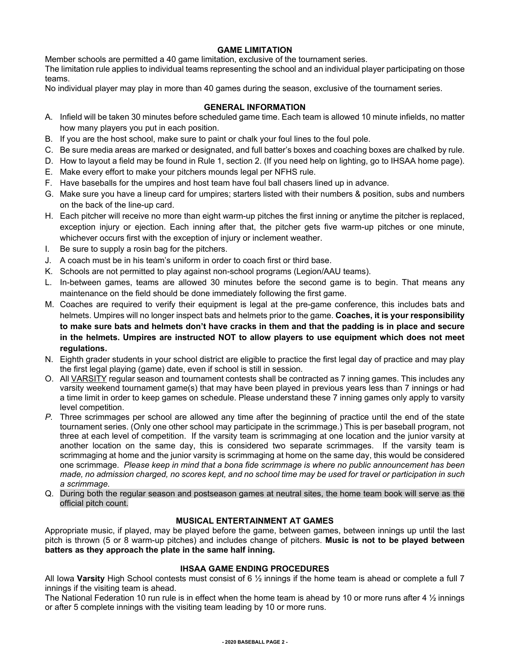# **GAME LIMITATION**

Member schools are permitted a 40 game limitation, exclusive of the tournament series. The limitation rule applies to individual teams representing the school and an individual player participating on those teams.

No individual player may play in more than 40 games during the season, exclusive of the tournament series.

# **GENERAL INFORMATION**

- A. Infield will be taken 30 minutes before scheduled game time. Each team is allowed 10 minute infields, no matter how many players you put in each position.
- B. If you are the host school, make sure to paint or chalk your foul lines to the foul pole.
- C. Be sure media areas are marked or designated, and full batter's boxes and coaching boxes are chalked by rule.
- D. How to layout a field may be found in Rule 1, section 2. (If you need help on lighting, go to IHSAA home page).
- E. Make every effort to make your pitchers mounds legal per NFHS rule.
- F. Have baseballs for the umpires and host team have foul ball chasers lined up in advance.
- G. Make sure you have a lineup card for umpires; starters listed with their numbers & position, subs and numbers on the back of the line-up card.
- H. Each pitcher will receive no more than eight warm-up pitches the first inning or anytime the pitcher is replaced, exception injury or ejection. Each inning after that, the pitcher gets five warm-up pitches or one minute, whichever occurs first with the exception of injury or inclement weather.
- I. Be sure to supply a rosin bag for the pitchers.
- J. A coach must be in his team's uniform in order to coach first or third base.
- K. Schools are not permitted to play against non-school programs (Legion/AAU teams).
- L. In-between games, teams are allowed 30 minutes before the second game is to begin. That means any maintenance on the field should be done immediately following the first game.
- M. Coaches are required to verify their equipment is legal at the pre-game conference, this includes bats and helmets. Umpires will no longer inspect bats and helmets prior to the game. **Coaches, it is your responsibility to make sure bats and helmets don't have cracks in them and that the padding is in place and secure in the helmets. Umpires are instructed NOT to allow players to use equipment which does not meet regulations.**
- N. Eighth grader students in your school district are eligible to practice the first legal day of practice and may play the first legal playing (game) date, even if school is still in session.
- O. All VARSITY regular season and tournament contests shall be contracted as 7 inning games. This includes any varsity weekend tournament game(s) that may have been played in previous years less than 7 innings or had a time limit in order to keep games on schedule. Please understand these 7 inning games only apply to varsity level competition.
- *P.* Three scrimmages per school are allowed any time after the beginning of practice until the end of the state tournament series. (Only one other school may participate in the scrimmage.) This is per baseball program, not three at each level of competition. If the varsity team is scrimmaging at one location and the junior varsity at another location on the same day, this is considered two separate scrimmages. If the varsity team is scrimmaging at home and the junior varsity is scrimmaging at home on the same day, this would be considered one scrimmage. *Please keep in mind that a bona fide scrimmage is where no public announcement has been made, no admission charged, no scores kept, and no school time may be used for travel or participation in such a scrimmage.*
- Q. During both the regular season and postseason games at neutral sites, the home team book will serve as the official pitch count.

# **MUSICAL ENTERTAINMENT AT GAMES**

Appropriate music, if played, may be played before the game, between games, between innings up until the last pitch is thrown (5 or 8 warm-up pitches) and includes change of pitchers. **Music is not to be played between batters as they approach the plate in the same half inning.**

# **IHSAA GAME ENDING PROCEDURES**

All Iowa **Varsity** High School contests must consist of 6 ½ innings if the home team is ahead or complete a full 7 innings if the visiting team is ahead.

The National Federation 10 run rule is in effect when the home team is ahead by 10 or more runs after 4  $\frac{1}{2}$  innings or after 5 complete innings with the visiting team leading by 10 or more runs.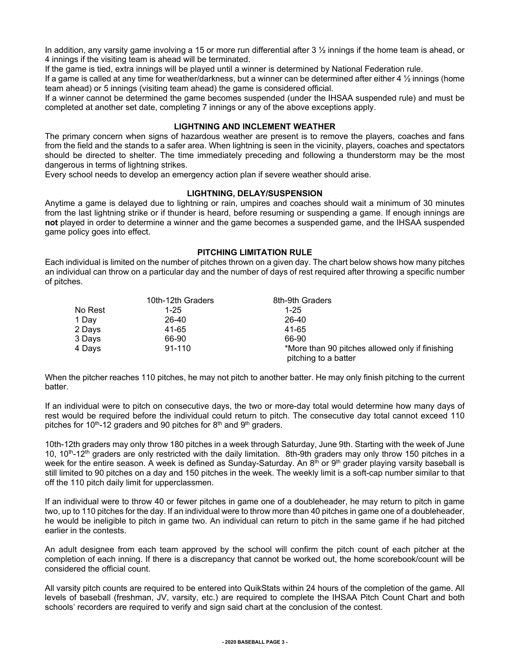In addition, any varsity game involving a 15 or more run differential after 3  $\frac{1}{2}$  innings if the home team is ahead, or 4 innings if the visiting team is ahead will be terminated.

If the game is tied, extra innings will be played until a winner is determined by National Federation rule.

If a game is called at any time for weather/darkness, but a winner can be determined after either 4 ½ innings (home team ahead) or 5 innings (visiting team ahead) the game is considered official.

If a winner cannot be determined the game becomes suspended (under the IHSAA suspended rule) and must be completed at another set date, completing 7 innings or any of the above exceptions apply.

## **LIGHTNING AND INCLEMENT WEATHER**

The primary concern when signs of hazardous weather are present is to remove the players, coaches and fans from the field and the stands to a safer area. When lightning is seen in the vicinity, players, coaches and spectators should be directed to shelter. The time immediately preceding and following a thunderstorm may be the most dangerous in terms of lightning strikes.

Every school needs to develop an emergency action plan if severe weather should arise.

#### **LIGHTNING, DELAY/SUSPENSION**

Anytime a game is delayed due to lightning or rain, umpires and coaches should wait a minimum of 30 minutes from the last lightning strike or if thunder is heard, before resuming or suspending a game. If enough innings are **not** played in order to determine a winner and the game becomes a suspended game, and the IHSAA suspended game policy goes into effect.

## **PITCHING LIMITATION RULE**

Each individual is limited on the number of pitches thrown on a given day. The chart below shows how many pitches an individual can throw on a particular day and the number of days of rest required after throwing a specific number of pitches.

|         | 10th-12th Graders | 8th-9th Graders                                                         |
|---------|-------------------|-------------------------------------------------------------------------|
| No Rest | $1 - 25$          | $1 - 25$                                                                |
| 1 Day   | 26-40             | 26-40                                                                   |
| 2 Days  | 41-65             | 41-65                                                                   |
| 3 Days  | 66-90             | 66-90                                                                   |
| 4 Days  | $91 - 110$        | *More than 90 pitches allowed only if finishing<br>pitching to a batter |

When the pitcher reaches 110 pitches, he may not pitch to another batter. He may only finish pitching to the current batter.

If an individual were to pitch on consecutive days, the two or more-day total would determine how many days of rest would be required before the individual could return to pitch. The consecutive day total cannot exceed 110 pitches for 10<sup>th</sup>-12 graders and 90 pitches for  $8<sup>th</sup>$  and  $9<sup>th</sup>$  graders.

10th-12th graders may only throw 180 pitches in a week through Saturday, June 9th. Starting with the week of June 10, 10<sup>th</sup>-12<sup>th</sup> graders are only restricted with the daily limitation. 8th-9th graders may only throw 150 pitches in a week for the entire season. A week is defined as Sunday-Saturday. An 8<sup>th</sup> or 9<sup>th</sup> grader playing varsity baseball is still limited to 90 pitches on a day and 150 pitches in the week. The weekly limit is a soft-cap number similar to that off the 110 pitch daily limit for upperclassmen.

If an individual were to throw 40 or fewer pitches in game one of a doubleheader, he may return to pitch in game two, up to 110 pitches for the day. If an individual were to throw more than 40 pitches in game one of a doubleheader, he would be ineligible to pitch in game two. An individual can return to pitch in the same game if he had pitched earlier in the contests.

An adult designee from each team approved by the school will confirm the pitch count of each pitcher at the completion of each inning. If there is a discrepancy that cannot be worked out, the home scorebook/count will be considered the official count.

All varsity pitch counts are required to be entered into QuikStats within 24 hours of the completion of the game. All levels of baseball (freshman, JV, varsity, etc.) are required to complete the IHSAA Pitch Count Chart and both schools' recorders are required to verify and sign said chart at the conclusion of the contest.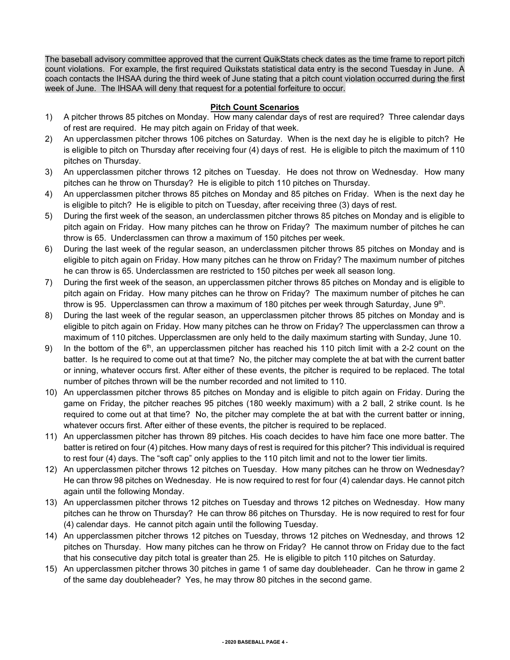The baseball advisory committee approved that the current QuikStats check dates as the time frame to report pitch count violations. For example, the first required Quikstats statistical data entry is the second Tuesday in June. A coach contacts the IHSAA during the third week of June stating that a pitch count violation occurred during the first week of June. The IHSAA will deny that request for a potential forfeiture to occur.

## **Pitch Count Scenarios**

- 1) A pitcher throws 85 pitches on Monday. How many calendar days of rest are required? Three calendar days of rest are required. He may pitch again on Friday of that week.
- 2) An upperclassmen pitcher throws 106 pitches on Saturday. When is the next day he is eligible to pitch? He is eligible to pitch on Thursday after receiving four (4) days of rest. He is eligible to pitch the maximum of 110 pitches on Thursday.
- 3) An upperclassmen pitcher throws 12 pitches on Tuesday. He does not throw on Wednesday. How many pitches can he throw on Thursday? He is eligible to pitch 110 pitches on Thursday.
- 4) An upperclassmen pitcher throws 85 pitches on Monday and 85 pitches on Friday. When is the next day he is eligible to pitch? He is eligible to pitch on Tuesday, after receiving three (3) days of rest.
- 5) During the first week of the season, an underclassmen pitcher throws 85 pitches on Monday and is eligible to pitch again on Friday. How many pitches can he throw on Friday? The maximum number of pitches he can throw is 65. Underclassmen can throw a maximum of 150 pitches per week.
- 6) During the last week of the regular season, an underclassmen pitcher throws 85 pitches on Monday and is eligible to pitch again on Friday. How many pitches can he throw on Friday? The maximum number of pitches he can throw is 65. Underclassmen are restricted to 150 pitches per week all season long.
- 7) During the first week of the season, an upperclassmen pitcher throws 85 pitches on Monday and is eligible to pitch again on Friday. How many pitches can he throw on Friday? The maximum number of pitches he can throw is 95. Upperclassmen can throw a maximum of 180 pitches per week through Saturday, June 9th.
- 8) During the last week of the regular season, an upperclassmen pitcher throws 85 pitches on Monday and is eligible to pitch again on Friday. How many pitches can he throw on Friday? The upperclassmen can throw a maximum of 110 pitches. Upperclassmen are only held to the daily maximum starting with Sunday, June 10.
- 9) In the bottom of the 6<sup>th</sup>, an upperclassmen pitcher has reached his 110 pitch limit with a 2-2 count on the batter. Is he required to come out at that time? No, the pitcher may complete the at bat with the current batter or inning, whatever occurs first. After either of these events, the pitcher is required to be replaced. The total number of pitches thrown will be the number recorded and not limited to 110.
- 10) An upperclassmen pitcher throws 85 pitches on Monday and is eligible to pitch again on Friday. During the game on Friday, the pitcher reaches 95 pitches (180 weekly maximum) with a 2 ball, 2 strike count. Is he required to come out at that time? No, the pitcher may complete the at bat with the current batter or inning, whatever occurs first. After either of these events, the pitcher is required to be replaced.
- 11) An upperclassmen pitcher has thrown 89 pitches. His coach decides to have him face one more batter. The batter is retired on four (4) pitches. How many days of rest is required for this pitcher? This individual is required to rest four (4) days. The "soft cap" only applies to the 110 pitch limit and not to the lower tier limits.
- 12) An upperclassmen pitcher throws 12 pitches on Tuesday. How many pitches can he throw on Wednesday? He can throw 98 pitches on Wednesday. He is now required to rest for four (4) calendar days. He cannot pitch again until the following Monday.
- 13) An upperclassmen pitcher throws 12 pitches on Tuesday and throws 12 pitches on Wednesday. How many pitches can he throw on Thursday? He can throw 86 pitches on Thursday. He is now required to rest for four (4) calendar days. He cannot pitch again until the following Tuesday.
- 14) An upperclassmen pitcher throws 12 pitches on Tuesday, throws 12 pitches on Wednesday, and throws 12 pitches on Thursday. How many pitches can he throw on Friday? He cannot throw on Friday due to the fact that his consecutive day pitch total is greater than 25. He is eligible to pitch 110 pitches on Saturday.
- 15) An upperclassmen pitcher throws 30 pitches in game 1 of same day doubleheader. Can he throw in game 2 of the same day doubleheader? Yes, he may throw 80 pitches in the second game.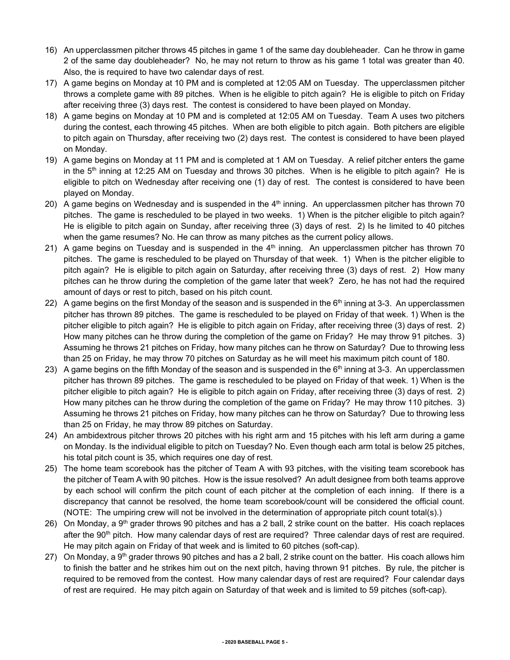- 16) An upperclassmen pitcher throws 45 pitches in game 1 of the same day doubleheader. Can he throw in game 2 of the same day doubleheader? No, he may not return to throw as his game 1 total was greater than 40. Also, the is required to have two calendar days of rest.
- 17) A game begins on Monday at 10 PM and is completed at 12:05 AM on Tuesday. The upperclassmen pitcher throws a complete game with 89 pitches. When is he eligible to pitch again? He is eligible to pitch on Friday after receiving three (3) days rest. The contest is considered to have been played on Monday.
- 18) A game begins on Monday at 10 PM and is completed at 12:05 AM on Tuesday. Team A uses two pitchers during the contest, each throwing 45 pitches. When are both eligible to pitch again. Both pitchers are eligible to pitch again on Thursday, after receiving two (2) days rest. The contest is considered to have been played on Monday.
- 19) A game begins on Monday at 11 PM and is completed at 1 AM on Tuesday. A relief pitcher enters the game in the  $5<sup>th</sup>$  inning at 12:25 AM on Tuesday and throws 30 pitches. When is he eligible to pitch again? He is eligible to pitch on Wednesday after receiving one (1) day of rest. The contest is considered to have been played on Monday.
- 20) A game begins on Wednesday and is suspended in the  $4<sup>th</sup>$  inning. An upperclassmen pitcher has thrown 70 pitches. The game is rescheduled to be played in two weeks. 1) When is the pitcher eligible to pitch again? He is eligible to pitch again on Sunday, after receiving three (3) days of rest. 2) Is he limited to 40 pitches when the game resumes? No. He can throw as many pitches as the current policy allows.
- 21) A game begins on Tuesday and is suspended in the  $4<sup>th</sup>$  inning. An upperclassmen pitcher has thrown 70 pitches. The game is rescheduled to be played on Thursday of that week. 1) When is the pitcher eligible to pitch again? He is eligible to pitch again on Saturday, after receiving three (3) days of rest. 2) How many pitches can he throw during the completion of the game later that week? Zero, he has not had the required amount of days or rest to pitch, based on his pitch count.
- 22) A game begins on the first Monday of the season and is suspended in the  $6<sup>th</sup>$  inning at 3-3. An upperclassmen pitcher has thrown 89 pitches. The game is rescheduled to be played on Friday of that week. 1) When is the pitcher eligible to pitch again? He is eligible to pitch again on Friday, after receiving three (3) days of rest. 2) How many pitches can he throw during the completion of the game on Friday? He may throw 91 pitches. 3) Assuming he throws 21 pitches on Friday, how many pitches can he throw on Saturday? Due to throwing less than 25 on Friday, he may throw 70 pitches on Saturday as he will meet his maximum pitch count of 180.
- 23) A game begins on the fifth Monday of the season and is suspended in the  $6<sup>th</sup>$  inning at 3-3. An upperclassmen pitcher has thrown 89 pitches. The game is rescheduled to be played on Friday of that week. 1) When is the pitcher eligible to pitch again? He is eligible to pitch again on Friday, after receiving three (3) days of rest. 2) How many pitches can he throw during the completion of the game on Friday? He may throw 110 pitches. 3) Assuming he throws 21 pitches on Friday, how many pitches can he throw on Saturday? Due to throwing less than 25 on Friday, he may throw 89 pitches on Saturday.
- 24) An ambidextrous pitcher throws 20 pitches with his right arm and 15 pitches with his left arm during a game on Monday. Is the individual eligible to pitch on Tuesday? No. Even though each arm total is below 25 pitches, his total pitch count is 35, which requires one day of rest.
- 25) The home team scorebook has the pitcher of Team A with 93 pitches, with the visiting team scorebook has the pitcher of Team A with 90 pitches. How is the issue resolved? An adult designee from both teams approve by each school will confirm the pitch count of each pitcher at the completion of each inning. If there is a discrepancy that cannot be resolved, the home team scorebook/count will be considered the official count. (NOTE: The umpiring crew will not be involved in the determination of appropriate pitch count total(s).)
- 26) On Monday, a 9<sup>th</sup> grader throws 90 pitches and has a 2 ball, 2 strike count on the batter. His coach replaces after the 90<sup>th</sup> pitch. How many calendar days of rest are required? Three calendar days of rest are required. He may pitch again on Friday of that week and is limited to 60 pitches (soft-cap).
- 27) On Monday, a  $9<sup>th</sup>$  grader throws 90 pitches and has a 2 ball, 2 strike count on the batter. His coach allows him to finish the batter and he strikes him out on the next pitch, having thrown 91 pitches. By rule, the pitcher is required to be removed from the contest. How many calendar days of rest are required? Four calendar days of rest are required. He may pitch again on Saturday of that week and is limited to 59 pitches (soft-cap).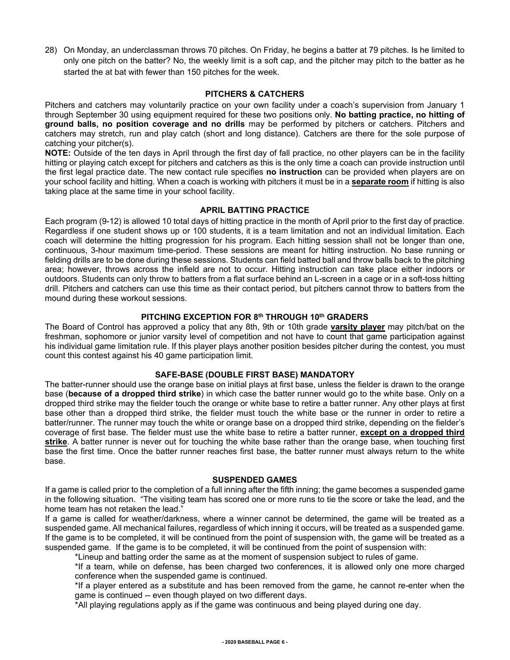28) On Monday, an underclassman throws 70 pitches. On Friday, he begins a batter at 79 pitches. Is he limited to only one pitch on the batter? No, the weekly limit is a soft cap, and the pitcher may pitch to the batter as he started the at bat with fewer than 150 pitches for the week.

## **PITCHERS & CATCHERS**

Pitchers and catchers may voluntarily practice on your own facility under a coach's supervision from January 1 through September 30 using equipment required for these two positions only. **No batting practice, no hitting of ground balls, no position coverage and no drills** may be performed by pitchers or catchers. Pitchers and catchers may stretch, run and play catch (short and long distance). Catchers are there for the sole purpose of catching your pitcher(s).

**NOTE:** Outside of the ten days in April through the first day of fall practice, no other players can be in the facility hitting or playing catch except for pitchers and catchers as this is the only time a coach can provide instruction until the first legal practice date. The new contact rule specifies **no instruction** can be provided when players are on your school facility and hitting. When a coach is working with pitchers it must be in a **separate room** if hitting is also taking place at the same time in your school facility.

## **APRIL BATTING PRACTICE**

Each program (9-12) is allowed 10 total days of hitting practice in the month of April prior to the first day of practice. Regardless if one student shows up or 100 students, it is a team limitation and not an individual limitation. Each coach will determine the hitting progression for his program. Each hitting session shall not be longer than one, continuous, 3-hour maximum time-period. These sessions are meant for hitting instruction. No base running or fielding drills are to be done during these sessions. Students can field batted ball and throw balls back to the pitching area; however, throws across the infield are not to occur. Hitting instruction can take place either indoors or outdoors. Students can only throw to batters from a flat surface behind an L-screen in a cage or in a soft-toss hitting drill. Pitchers and catchers can use this time as their contact period, but pitchers cannot throw to batters from the mound during these workout sessions.

## **PITCHING EXCEPTION FOR 8th THROUGH 10th GRADERS**

The Board of Control has approved a policy that any 8th, 9th or 10th grade **varsity player** may pitch/bat on the freshman, sophomore or junior varsity level of competition and not have to count that game participation against his individual game limitation rule. If this player plays another position besides pitcher during the contest, you must count this contest against his 40 game participation limit.

## **SAFE-BASE (DOUBLE FIRST BASE) MANDATORY**

The batter-runner should use the orange base on initial plays at first base, unless the fielder is drawn to the orange base (**because of a dropped third strike**) in which case the batter runner would go to the white base. Only on a dropped third strike may the fielder touch the orange or white base to retire a batter runner. Any other plays at first base other than a dropped third strike, the fielder must touch the white base or the runner in order to retire a batter/runner. The runner may touch the white or orange base on a dropped third strike, depending on the fielder's coverage of first base. The fielder must use the white base to retire a batter runner, **except on a dropped third strike**. A batter runner is never out for touching the white base rather than the orange base, when touching first base the first time. Once the batter runner reaches first base, the batter runner must always return to the white base.

#### **SUSPENDED GAMES**

If a game is called prior to the completion of a full inning after the fifth inning; the game becomes a suspended game in the following situation. "The visiting team has scored one or more runs to tie the score or take the lead, and the home team has not retaken the lead."

If a game is called for weather/darkness, where a winner cannot be determined, the game will be treated as a suspended game. All mechanical failures, regardless of which inning it occurs, will be treated as a suspended game. If the game is to be completed, it will be continued from the point of suspension with, the game will be treated as a suspended game. If the game is to be completed, it will be continued from the point of suspension with:

\*Lineup and batting order the same as at the moment of suspension subject to rules of game.

\*If a team, while on defense, has been charged two conferences, it is allowed only one more charged conference when the suspended game is continued.

\*If a player entered as a substitute and has been removed from the game, he cannot re-enter when the game is continued -- even though played on two different days.

\*All playing regulations apply as if the game was continuous and being played during one day.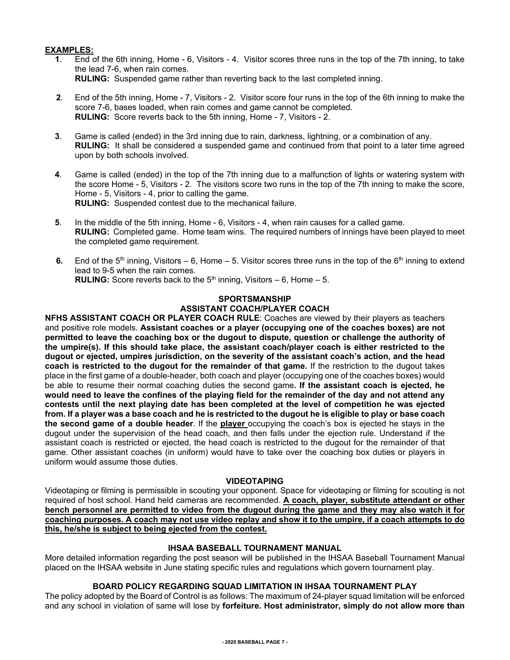## **EXAMPLES:**

- **1**. End of the 6th inning, Home 6, Visitors 4. Visitor scores three runs in the top of the 7th inning, to take the lead 7-6, when rain comes. **RULING:** Suspended game rather than reverting back to the last completed inning.
- **2**. End of the 5th inning, Home 7, Visitors 2. Visitor score four runs in the top of the 6th inning to make the score 7-6, bases loaded, when rain comes and game cannot be completed. **RULING:** Score reverts back to the 5th inning, Home - 7, Visitors - 2.
- **3**. Game is called (ended) in the 3rd inning due to rain, darkness, lightning, or a combination of any. **RULING:** It shall be considered a suspended game and continued from that point to a later time agreed upon by both schools involved.
- **4**. Game is called (ended) in the top of the 7th inning due to a malfunction of lights or watering system with the score Home - 5, Visitors - 2. The visitors score two runs in the top of the 7th inning to make the score, Home - 5, Visitors - 4, prior to calling the game. **RULING:** Suspended contest due to the mechanical failure.
- **5**. In the middle of the 5th inning, Home 6, Visitors 4, when rain causes for a called game. **RULING:** Completed game. Home team wins. The required numbers of innings have been played to meet the completed game requirement.
- **6.** End of the 5<sup>th</sup> inning, Visitors 6, Home 5. Visitor scores three runs in the top of the  $6<sup>th</sup>$  inning to extend lead to 9-5 when the rain comes. **RULING:** Score reverts back to the  $5<sup>th</sup>$  inning, Visitors – 6, Home – 5.

## **SPORTSMANSHIP ASSISTANT COACH/PLAYER COACH**

**NFHS ASSISTANT COACH OR PLAYER COACH RULE**: Coaches are viewed by their players as teachers and positive role models. **Assistant coaches or a player (occupying one of the coaches boxes) are not permitted to leave the coaching box or the dugout to dispute, question or challenge the authority of the umpire(s). If this should take place, the assistant coach/player coach is either restricted to the dugout or ejected, umpires jurisdiction, on the severity of the assistant coach's action, and the head coach is restricted to the dugout for the remainder of that game.** If the restriction to the dugout takes place in the first game of a double-header, both coach and player (occupying one of the coaches boxes) would be able to resume their normal coaching duties the second game**. If the assistant coach is ejected, he would need to leave the confines of the playing field for the remainder of the day and not attend any contests until the next playing date has been completed at the level of competition he was ejected from. If a player was a base coach and he is restricted to the dugout he is eligible to play or base coach the second game of a double header**. If the **player** occupying the coach's box is ejected he stays in the dugout under the supervision of the head coach, and then falls under the ejection rule. Understand if the assistant coach is restricted or ejected, the head coach is restricted to the dugout for the remainder of that game. Other assistant coaches (in uniform) would have to take over the coaching box duties or players in uniform would assume those duties.

## **VIDEOTAPING**

Videotaping or filming is permissible in scouting your opponent. Space for videotaping or filming for scouting is not required of host school. Hand held cameras are recommended. **A coach, player, substitute attendant or other bench personnel are permitted to video from the dugout during the game and they may also watch it for coaching purposes. A coach may not use video replay and show it to the umpire, if a coach attempts to do this, he/she is subject to being ejected from the contest.**

## **IHSAA BASEBALL TOURNAMENT MANUAL**

More detailed information regarding the post season will be published in the IHSAA Baseball Tournament Manual placed on the IHSAA website in June stating specific rules and regulations which govern tournament play.

## **BOARD POLICY REGARDING SQUAD LIMITATION IN IHSAA TOURNAMENT PLAY**

The policy adopted by the Board of Control is as follows: The maximum of 24-player squad limitation will be enforced and any school in violation of same will lose by **forfeiture. Host administrator, simply do not allow more than**